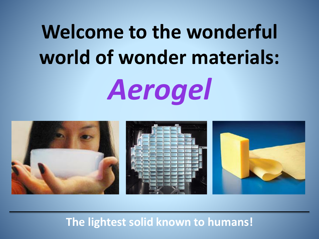# **Welcome to the wonderful world of wonder materials:**  *Aerogel*



#### **The lightest solid known to humans!**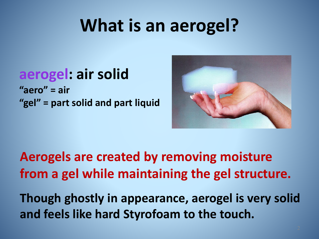# **What is an aerogel?**

#### **aerogel: air solid "aero" = air "gel" = part solid and part liquid**



**Aerogels are created by removing moisture from a gel while maintaining the gel structure.** 

**Though ghostly in appearance, aerogel is very solid and feels like hard Styrofoam to the touch.**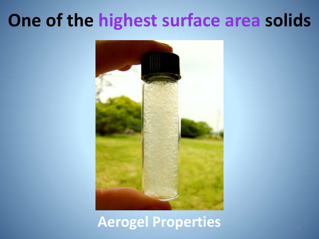# **One of the highest surface area solids**

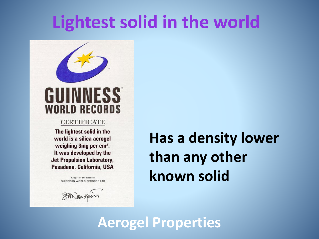### **Lightest solid in the world**



#### **CERTIFICATE**

The lightest solid in the world is a silica aerogel weighing 3mg per cm<sup>3</sup>. It was developed by the **Jet Propulsion Laboratory,** Pasadena, California, USA

> Keeper of the Records **GUINNESS WORLD RECORDS LTD**

### **Has a density lower than any other known solid**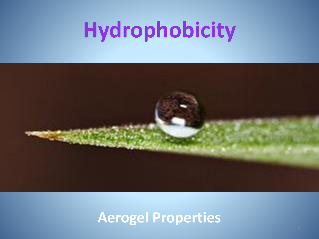# **Hydrophobicity**

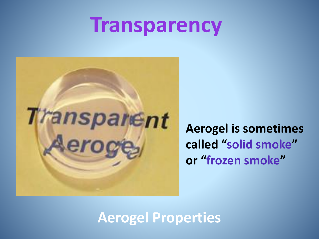# **Transparency**



**Aerogel is sometimes called "solid smoke" or "frozen smoke"**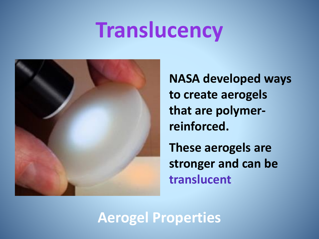# **Translucency**



**NASA developed ways to create aerogels that are polymerreinforced.**

**These aerogels are stronger and can be translucent.**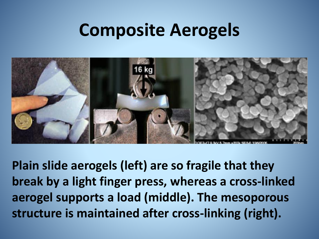### **Composite Aerogels**



**Plain slide aerogels (left) are so fragile that they break by a light finger press, whereas a cross-linked aerogel supports a load (middle). The mesoporous structure is maintained after cross-linking (right).**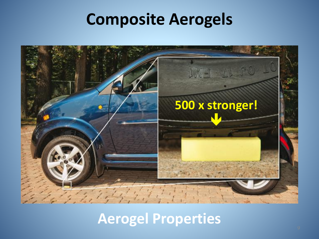### **Composite Aerogels**

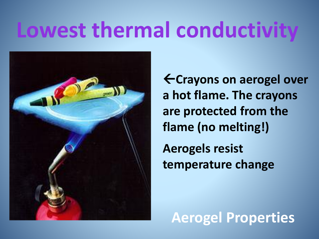# **Lowest thermal conductivity**



**Crayons on aerogel over a hot flame. The crayons are protected from the flame (no melting!) Aerogels resist** 

**temperature change**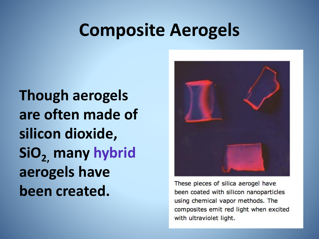### **Composite Aerogels**

**Though aerogels are often made of silicon dioxide, SiO2, many hybrid aerogels have been created.** 



These pieces of silica aerogel have been coated with silicon nanoparticles using chemical vapor methods. The composites emit red light when excited with ultraviolet light.

11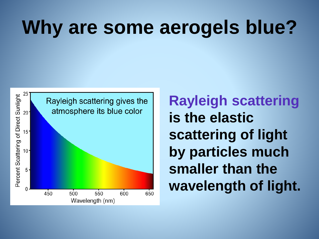# **Why are some aerogels blue?**



**Rayleigh scattering is the elastic scattering of light by particles much smaller than the wavelength of light.**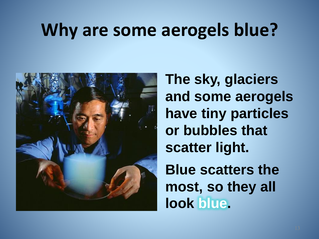## **Why are some aerogels blue?**



**The sky, glaciers and some aerogels have tiny particles or bubbles that scatter light. Blue scatters the most, so they all look blue.**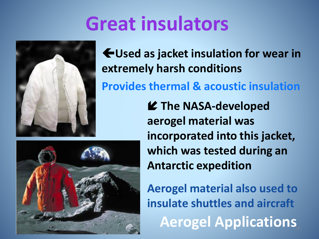# **Great insulators**



**Used as jacket insulation for wear in extremely harsh conditions**

**Provides thermal & acoustic insulation**

 **The NASA-developed aerogel material was incorporated into this jacket, which was tested during an Antarctic expedition**

14 **Aerogel Applications Aerogel material also used to insulate shuttles and aircraft**

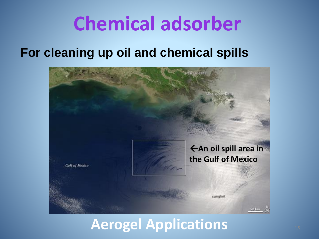# **Chemical adsorber**

#### **For cleaning up oil and chemical spills**



#### **Aerogel Applications**